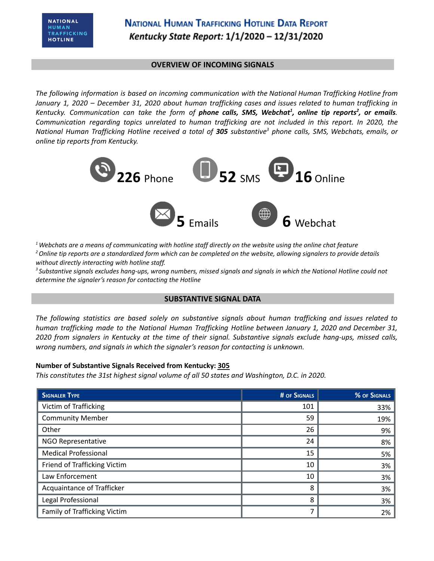# **NATIONAL HUMAN TRAFFICKING HOTLINE DATA REPORT** Kentucky State Report: 1/1/2020 - 12/31/2020

### **OVERVIEW OF INCOMING SIGNALS**

*The following information is based on incoming communication with the National Human Trafficking Hotline from* January 1, 2020 - December 31, 2020 about human trafficking cases and issues related to human trafficking in Kentucky. Communication can take the form of **phone calls, SMS, Webchat<sup>1</sup>, online tip reports<sup>2</sup>, or emails.** *Communication regarding topics unrelated to human trafficking are not included in this report. In 2020, the* National Human Trafficking Hotline received a total of 305 substantive<sup>3</sup> phone calls, SMS, Webchats, emails, or *online tip reports from Kentucky.*



 $1$  Webchats are a means of communicating with hotline staff directly on the website using the online chat feature <sup>2</sup> Online tip reports are a standardized form which can be completed on the website, allowing signalers to provide details *without directly interacting with hotline staff.*

<sup>3</sup> Substantive signals excludes hang-ups, wrong numbers, missed signals and signals in which the National Hotline could not *determine the signaler's reason for contacting the Hotline*

### **SUBSTANTIVE SIGNAL DATA**

*The following statistics are based solely on substantive signals about human trafficking and issues related to human trafficking made to the National Human Trafficking Hotline between January 1, 2020 and December 31,* 2020 from signalers in Kentucky at the time of their signal. Substantive signals exclude hang-ups, missed calls, *wrong numbers, and signals in which the signaler's reason for contacting is unknown.*

#### **Number of Substantive Signals Received from Kentucky: 305**

*This constitutes the 31st highest signal volume of all 50 states and Washington, D.C. in 2020.*

| <b>SIGNALER TYPE</b>         | # OF SIGNALS | % OF SIGNALS |
|------------------------------|--------------|--------------|
| Victim of Trafficking        | 101          | 33%          |
| <b>Community Member</b>      | 59           | 19%          |
| Other                        | 26           | 9%           |
| NGO Representative           | 24           | 8%           |
| <b>Medical Professional</b>  | 15           | 5%           |
| Friend of Trafficking Victim | 10           | 3%           |
| Law Enforcement              | 10           | 3%           |
| Acquaintance of Trafficker   | 8            | 3%           |
| Legal Professional           | 8            | 3%           |
| Family of Trafficking Victim | 7            | 2%           |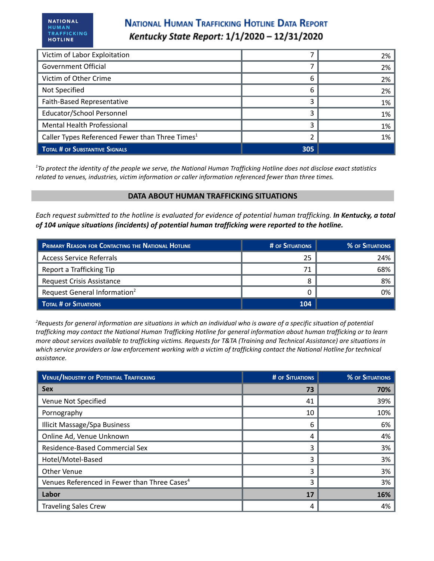# **NATIONAL HUMAN TRAFFICKING HOTLINE DATA REPORT** Kentucky State Report: 1/1/2020 - 12/31/2020

| Victim of Labor Exploitation                                |     | 2%    |
|-------------------------------------------------------------|-----|-------|
| <b>Government Official</b>                                  |     | $2\%$ |
| Victim of Other Crime                                       | 6   | 2%    |
| Not Specified                                               | 6   | 2%    |
| Faith-Based Representative                                  |     | 1%    |
| Educator/School Personnel                                   |     | 1%    |
| Mental Health Professional                                  |     | 1%    |
| Caller Types Referenced Fewer than Three Times <sup>1</sup> |     | 1%    |
| TOTAL # OF SUBSTANTIVE SIGNALS                              | 305 |       |

<sup>1</sup>To protect the identity of the people we serve, the National Human Trafficking Hotline does not disclose exact statistics *related to venues, industries, victim information or caller information referenced fewer than three times.*

#### **DATA ABOUT HUMAN TRAFFICKING SITUATIONS**

Each request submitted to the hotline is evaluated for evidence of potential human trafficking. In Kentucky, a total *of 104 unique situations (incidents) of potential human trafficking were reported to the hotline.*

| <b>PRIMARY REASON FOR CONTACTING THE NATIONAL HOTLINE</b> | # OF SITUATIONS | % OF SITUATIONS |
|-----------------------------------------------------------|-----------------|-----------------|
| <b>Access Service Referrals</b>                           | 25              | 24%             |
| Report a Trafficking Tip                                  | 71              | 68%             |
| Request Crisis Assistance                                 |                 | 8%              |
| Request General Information <sup>2</sup>                  |                 | 0%              |
| <b>TOTAL # OF SITUATIONS</b>                              | 104             |                 |

<sup>2</sup>Requests for general information are situations in which an individual who is aware of a specific situation of potential trafficking may contact the National Human Trafficking Hotline for general information about human trafficking or to learn more about services available to trafficking victims. Requests for T&TA (Training and Technical Assistance) are situations in which service providers or law enforcement working with a victim of trafficking contact the National Hotline for technical *assistance.*

| <b>VENUE/INDUSTRY OF POTENTIAL TRAFFICKING</b>           | # OF SITUATIONS | <b>% OF SITUATIONS</b> |
|----------------------------------------------------------|-----------------|------------------------|
| <b>Sex</b>                                               | 73              | 70%                    |
| Venue Not Specified                                      | 41              | 39%                    |
| Pornography                                              | 10              | 10%                    |
| <b>Illicit Massage/Spa Business</b>                      | 6               | 6%                     |
| Online Ad, Venue Unknown                                 | 4               | 4%                     |
| Residence-Based Commercial Sex                           | ς               | 3%                     |
| Hotel/Motel-Based                                        | ς               | 3%                     |
| <b>Other Venue</b>                                       | 3               | 3%                     |
| Venues Referenced in Fewer than Three Cases <sup>4</sup> | 3               | 3%                     |
| Labor                                                    | 17              | 16%                    |
| <b>Traveling Sales Crew</b>                              | 4               | 4%                     |